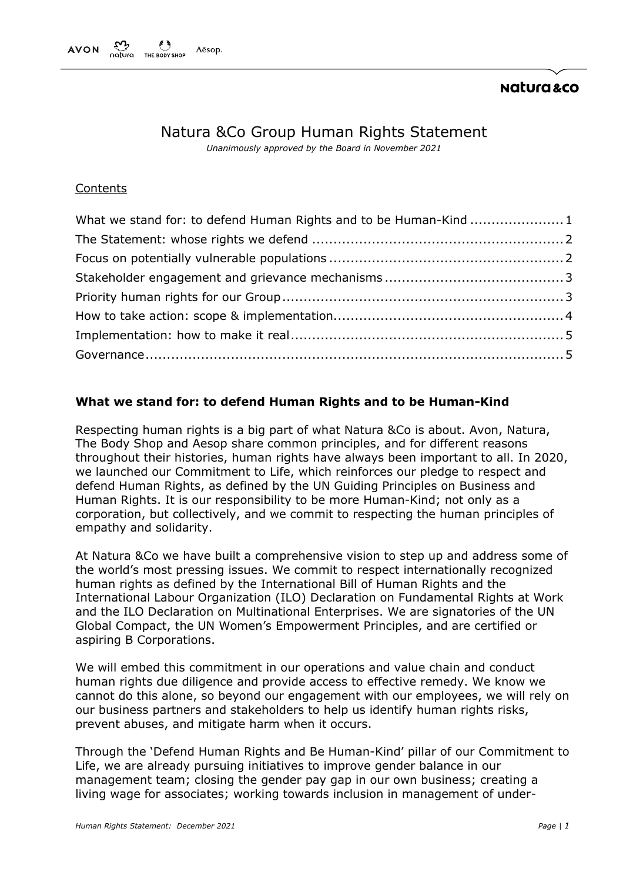# Natura &Co Group Human Rights Statement

*Unanimously approved by the Board in November 2021*

## **Contents**

| What we stand for: to defend Human Rights and to be Human-Kind 1 |  |
|------------------------------------------------------------------|--|
|                                                                  |  |
|                                                                  |  |
|                                                                  |  |
|                                                                  |  |
|                                                                  |  |
|                                                                  |  |
|                                                                  |  |

# <span id="page-0-0"></span>**What we stand for: to defend Human Rights and to be Human-Kind**

Respecting human rights is a big part of what Natura &Co is about. Avon, Natura, The Body Shop and Aesop share common principles, and for different reasons throughout their histories, human rights have always been important to all. In 2020, we launched our Commitment to Life, which reinforces our pledge to respect and defend Human Rights, as defined by the UN Guiding Principles on Business and Human Rights. It is our responsibility to be more Human-Kind; not only as a corporation, but collectively, and we commit to respecting the human principles of empathy and solidarity.

At Natura &Co we have built a comprehensive vision to step up and address some of the world's most pressing issues. We commit to respect internationally recognized human rights as defined by the International Bill of Human Rights and the International Labour Organization (ILO) Declaration on Fundamental Rights at Work and the ILO Declaration on Multinational Enterprises. We are signatories of the UN Global Compact, the UN Women's Empowerment Principles, and are certified or aspiring B Corporations.

We will embed this commitment in our operations and value chain and conduct human rights due diligence and provide access to effective remedy. We know we cannot do this alone, so beyond our engagement with our employees, we will rely on our business partners and stakeholders to help us identify human rights risks, prevent abuses, and mitigate harm when it occurs.

Through the 'Defend Human Rights and Be Human-Kind' pillar of our Commitment to Life, we are already pursuing initiatives to improve gender balance in our management team; closing the gender pay gap in our own business; creating a living wage for associates; working towards inclusion in management of under-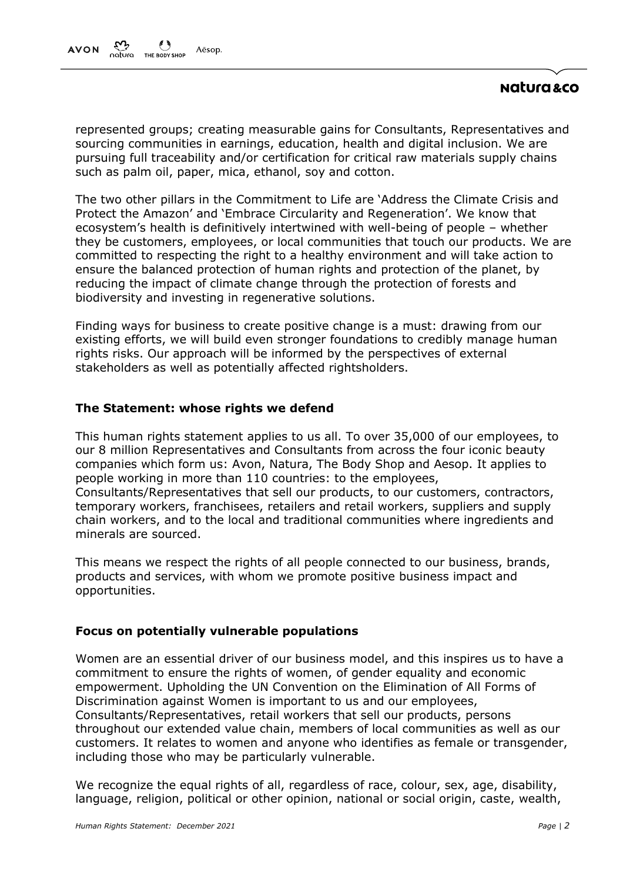# natura &co

represented groups; creating measurable gains for Consultants, Representatives and sourcing communities in earnings, education, health and digital inclusion. We are pursuing full traceability and/or certification for critical raw materials supply chains such as palm oil, paper, mica, ethanol, soy and cotton.

The two other pillars in the Commitment to Life are 'Address the Climate Crisis and Protect the Amazon' and 'Embrace Circularity and Regeneration'. We know that ecosystem's health is definitively intertwined with well-being of people – whether they be customers, employees, or local communities that touch our products. We are committed to respecting the right to a healthy environment and will take action to ensure the balanced protection of human rights and protection of the planet, by reducing the impact of climate change through the protection of forests and biodiversity and investing in regenerative solutions.

Finding ways for business to create positive change is a must: drawing from our existing efforts, we will build even stronger foundations to credibly manage human rights risks. Our approach will be informed by the perspectives of external stakeholders as well as potentially affected rightsholders.

## <span id="page-1-0"></span>**The Statement: whose rights we defend**

This human rights statement applies to us all. To over 35,000 of our employees, to our 8 million Representatives and Consultants from across the four iconic beauty companies which form us: Avon, Natura, The Body Shop and Aesop. It applies to people working in more than 110 countries: to the employees, Consultants/Representatives that sell our products, to our customers, contractors, temporary workers, franchisees, retailers and retail workers, suppliers and supply chain workers, and to the local and traditional communities where ingredients and minerals are sourced.

This means we respect the rights of all people connected to our business, brands, products and services, with whom we promote positive business impact and opportunities.

## <span id="page-1-1"></span>**Focus on potentially vulnerable populations**

Women are an essential driver of our business model, and this inspires us to have a commitment to ensure the rights of women, of gender equality and economic empowerment. Upholding the UN Convention on the Elimination of All Forms of Discrimination against Women is important to us and our employees, Consultants/Representatives, retail workers that sell our products, persons throughout our extended value chain, members of local communities as well as our customers. It relates to women and anyone who identifies as female or transgender, including those who may be particularly vulnerable.

We recognize the equal rights of all, regardless of race, colour, sex, age, disability, language, religion, political or other opinion, national or social origin, caste, wealth,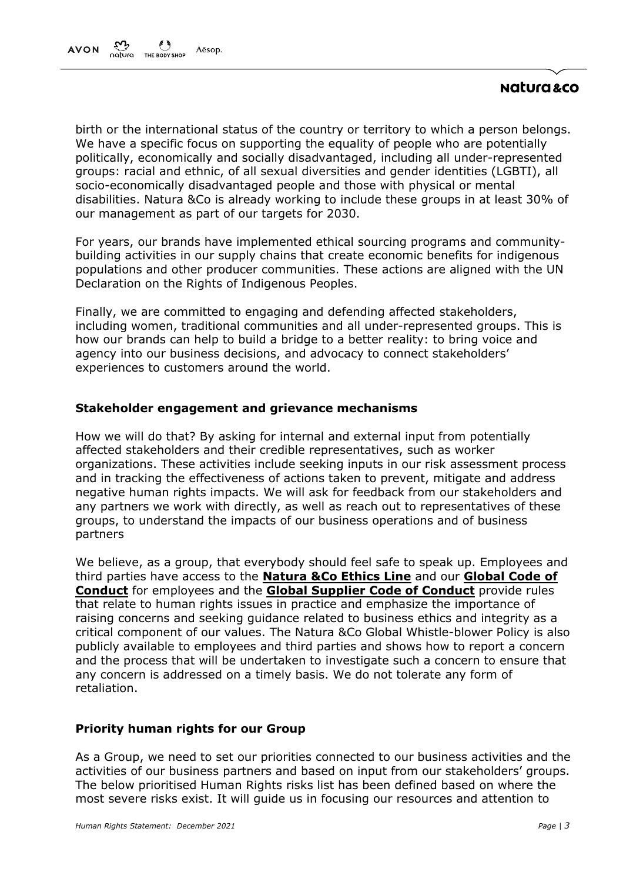# natura &co

birth or the international status of the country or territory to which a person belongs. We have a specific focus on supporting the equality of people who are potentially politically, economically and socially disadvantaged, including all under-represented groups: racial and ethnic, of all sexual diversities and gender identities (LGBTI), all socio-economically disadvantaged people and those with physical or mental disabilities. Natura &Co is already working to include these groups in at least 30% of our management as part of our targets for 2030.

For years, our brands have implemented ethical sourcing programs and communitybuilding activities in our supply chains that create economic benefits for indigenous populations and other producer communities. These actions are aligned with the UN Declaration on the Rights of Indigenous Peoples.

Finally, we are committed to engaging and defending affected stakeholders, including women, traditional communities and all under-represented groups. This is how our brands can help to build a bridge to a better reality: to bring voice and agency into our business decisions, and advocacy to connect stakeholders' experiences to customers around the world.

## <span id="page-2-0"></span>**Stakeholder engagement and grievance mechanisms**

How we will do that? By asking for internal and external input from potentially affected stakeholders and their credible representatives, such as worker organizations. These activities include seeking inputs in our risk assessment process and in tracking the effectiveness of actions taken to prevent, mitigate and address negative human rights impacts. We will ask for feedback from our stakeholders and any partners we work with directly, as well as reach out to representatives of these groups, to understand the impacts of our business operations and of business partners

We believe, as a group, that everybody should feel safe to speak up. Employees and third parties have access to the **[Natura &Co Ethics Line](https://secure.ethicspoint.com/domain/media/en/gui/25063/index.html)** and our **[Global Code of](https://api.mziq.com/mzfilemanager/v2/d/67c3b7d4-64ea-4c2f-b380-6596a2ac2fbf/cc91fcf3-30d5-ffb1-81ab-43cdecc891a8?origin=1)  [Conduct](https://api.mziq.com/mzfilemanager/v2/d/67c3b7d4-64ea-4c2f-b380-6596a2ac2fbf/cc91fcf3-30d5-ffb1-81ab-43cdecc891a8?origin=1)** for employees and the **[Global Supplier Code of](https://api.mziq.com/mzfilemanager/v2/d/9e61d5ff-4641-4ec3-97a5-3595f938bb75/583937a0-ea76-0850-c842-a60882b8731d?origin=2) Conduct** provide rules that relate to human rights issues in practice and emphasize the importance of raising concerns and seeking guidance related to business ethics and integrity as a critical component of our values. The Natura &Co Global Whistle-blower Policy is also publicly available to employees and third parties and shows how to report a concern and the process that will be undertaken to investigate such a concern to ensure that any concern is addressed on a timely basis. We do not tolerate any form of retaliation.

## <span id="page-2-1"></span>**Priority human rights for our Group**

As a Group, we need to set our priorities connected to our business activities and the activities of our business partners and based on input from our stakeholders' groups. The below prioritised Human Rights risks list has been defined based on where the most severe risks exist. It will guide us in focusing our resources and attention to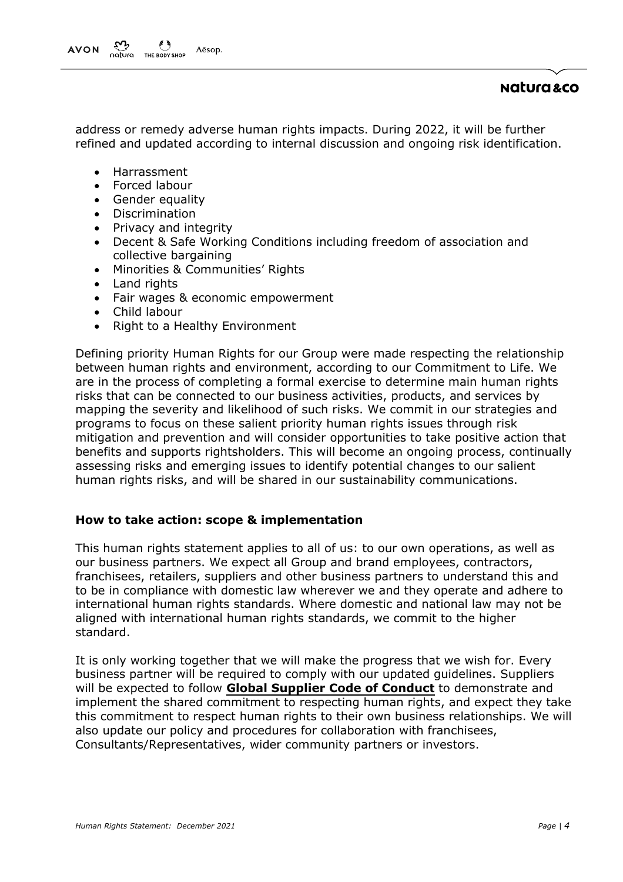address or remedy adverse human rights impacts. During 2022, it will be further refined and updated according to internal discussion and ongoing risk identification.

- Harrassment
- Forced labour
- Gender equality
- Discrimination
- Privacy and integrity
- Decent & Safe Working Conditions including freedom of association and collective bargaining
- Minorities & Communities' Rights
- Land rights
- Fair wages & economic empowerment
- Child labour
- Right to a Healthy Environment

Defining priority Human Rights for our Group were made respecting the relationship between human rights and environment, according to our Commitment to Life. We are in the process of completing a formal exercise to determine main human rights risks that can be connected to our business activities, products, and services by mapping the severity and likelihood of such risks. We commit in our strategies and programs to focus on these salient priority human rights issues through risk mitigation and prevention and will consider opportunities to take positive action that benefits and supports rightsholders. This will become an ongoing process, continually assessing risks and emerging issues to identify potential changes to our salient human rights risks, and will be shared in our sustainability communications.

## <span id="page-3-0"></span>**How to take action: scope & implementation**

This human rights statement applies to all of us: to our own operations, as well as our business partners. We expect all Group and brand employees, contractors, franchisees, retailers, suppliers and other business partners to understand this and to be in compliance with domestic law wherever we and they operate and adhere to international human rights standards. Where domestic and national law may not be aligned with international human rights standards, we commit to the higher standard.

It is only working together that we will make the progress that we wish for. Every business partner will be required to comply with our updated guidelines. Suppliers will be expected to follow **[Global Supplier Code of](https://api.mziq.com/mzfilemanager/v2/d/9e61d5ff-4641-4ec3-97a5-3595f938bb75/583937a0-ea76-0850-c842-a60882b8731d?origin=2) Conduct** to demonstrate and implement the shared commitment to respecting human rights, and expect they take this commitment to respect human rights to their own business relationships. We will also update our policy and procedures for collaboration with franchisees, Consultants/Representatives, wider community partners or investors.